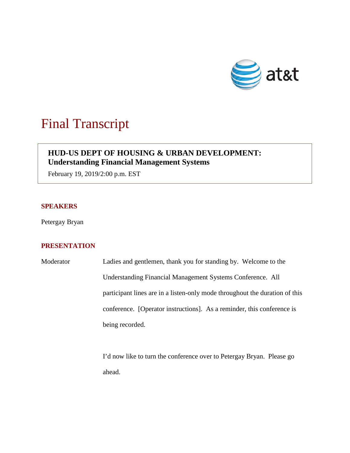

# Final Transcript

## **HUD-US DEPT OF HOUSING & URBAN DEVELOPMENT: Understanding Financial Management Systems**

February 19, 2019/2:00 p.m. EST

#### **SPEAKERS**

Petergay Bryan

### **PRESENTATION**

| Moderator | Ladies and gentlemen, thank you for standing by. Welcome to the             |
|-----------|-----------------------------------------------------------------------------|
|           | Understanding Financial Management Systems Conference. All                  |
|           | participant lines are in a listen-only mode throughout the duration of this |
|           | conference. [Operator instructions]. As a reminder, this conference is      |
|           | being recorded.                                                             |

I'd now like to turn the conference over to Petergay Bryan. Please go ahead.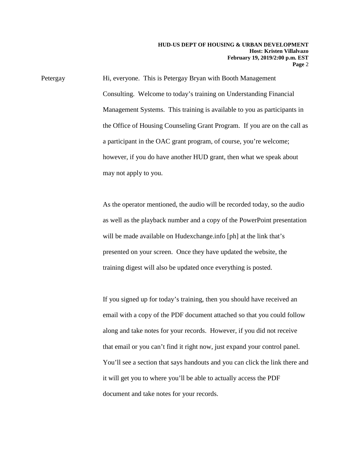Petergay Hi, everyone. This is Petergay Bryan with Booth Management Consulting. Welcome to today's training on Understanding Financial Management Systems. This training is available to you as participants in the Office of Housing Counseling Grant Program. If you are on the call as a participant in the OAC grant program, of course, you're welcome; however, if you do have another HUD grant, then what we speak about may not apply to you.

> As the operator mentioned, the audio will be recorded today, so the audio as well as the playback number and a copy of the PowerPoint presentation will be made available on Hudexchange.info [ph] at the link that's presented on your screen. Once they have updated the website, the training digest will also be updated once everything is posted.

> If you signed up for today's training, then you should have received an email with a copy of the PDF document attached so that you could follow along and take notes for your records. However, if you did not receive that email or you can't find it right now, just expand your control panel. You'll see a section that says handouts and you can click the link there and it will get you to where you'll be able to actually access the PDF document and take notes for your records.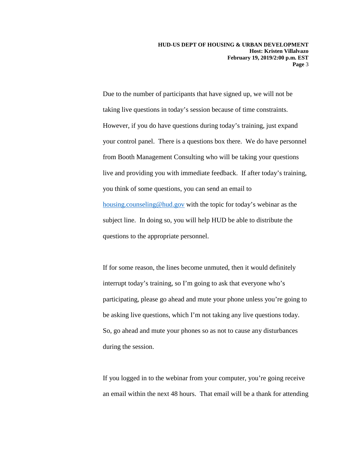Due to the number of participants that have signed up, we will not be taking live questions in today's session because of time constraints. However, if you do have questions during today's training, just expand your control panel. There is a questions box there. We do have personnel from Booth Management Consulting who will be taking your questions live and providing you with immediate feedback. If after today's training, you think of some questions, you can send an email to [housing.counseling@hud.gov](mailto:housing.counseling@hud.gov) with the topic for today's webinar as the subject line. In doing so, you will help HUD be able to distribute the questions to the appropriate personnel.

If for some reason, the lines become unmuted, then it would definitely interrupt today's training, so I'm going to ask that everyone who's participating, please go ahead and mute your phone unless you're going to be asking live questions, which I'm not taking any live questions today. So, go ahead and mute your phones so as not to cause any disturbances during the session.

If you logged in to the webinar from your computer, you're going receive an email within the next 48 hours. That email will be a thank for attending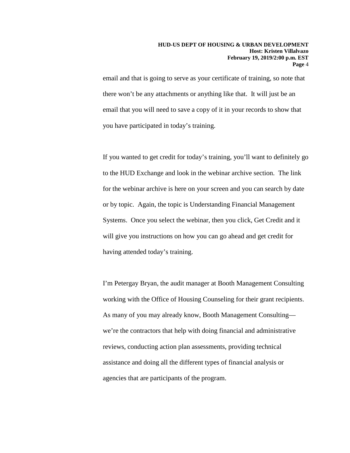email and that is going to serve as your certificate of training, so note that there won't be any attachments or anything like that. It will just be an email that you will need to save a copy of it in your records to show that you have participated in today's training.

If you wanted to get credit for today's training, you'll want to definitely go to the HUD Exchange and look in the webinar archive section. The link for the webinar archive is here on your screen and you can search by date or by topic. Again, the topic is Understanding Financial Management Systems. Once you select the webinar, then you click, Get Credit and it will give you instructions on how you can go ahead and get credit for having attended today's training.

I'm Petergay Bryan, the audit manager at Booth Management Consulting working with the Office of Housing Counseling for their grant recipients. As many of you may already know, Booth Management Consulting we're the contractors that help with doing financial and administrative reviews, conducting action plan assessments, providing technical assistance and doing all the different types of financial analysis or agencies that are participants of the program.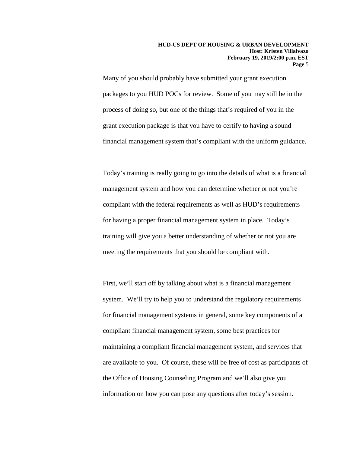Many of you should probably have submitted your grant execution packages to you HUD POCs for review. Some of you may still be in the process of doing so, but one of the things that's required of you in the grant execution package is that you have to certify to having a sound financial management system that's compliant with the uniform guidance.

Today's training is really going to go into the details of what is a financial management system and how you can determine whether or not you're compliant with the federal requirements as well as HUD's requirements for having a proper financial management system in place. Today's training will give you a better understanding of whether or not you are meeting the requirements that you should be compliant with.

First, we'll start off by talking about what is a financial management system. We'll try to help you to understand the regulatory requirements for financial management systems in general, some key components of a compliant financial management system, some best practices for maintaining a compliant financial management system, and services that are available to you. Of course, these will be free of cost as participants of the Office of Housing Counseling Program and we'll also give you information on how you can pose any questions after today's session.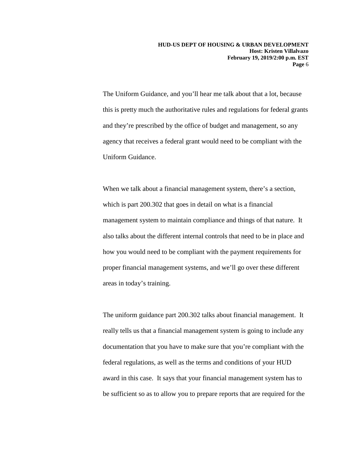The Uniform Guidance, and you'll hear me talk about that a lot, because this is pretty much the authoritative rules and regulations for federal grants and they're prescribed by the office of budget and management, so any agency that receives a federal grant would need to be compliant with the Uniform Guidance.

When we talk about a financial management system, there's a section, which is part 200.302 that goes in detail on what is a financial management system to maintain compliance and things of that nature. It also talks about the different internal controls that need to be in place and how you would need to be compliant with the payment requirements for proper financial management systems, and we'll go over these different areas in today's training.

The uniform guidance part 200.302 talks about financial management. It really tells us that a financial management system is going to include any documentation that you have to make sure that you're compliant with the federal regulations, as well as the terms and conditions of your HUD award in this case. It says that your financial management system has to be sufficient so as to allow you to prepare reports that are required for the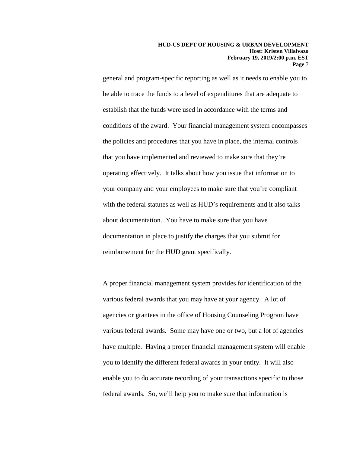general and program-specific reporting as well as it needs to enable you to be able to trace the funds to a level of expenditures that are adequate to establish that the funds were used in accordance with the terms and conditions of the award. Your financial management system encompasses the policies and procedures that you have in place, the internal controls that you have implemented and reviewed to make sure that they're operating effectively. It talks about how you issue that information to your company and your employees to make sure that you're compliant with the federal statutes as well as HUD's requirements and it also talks about documentation. You have to make sure that you have documentation in place to justify the charges that you submit for reimbursement for the HUD grant specifically.

A proper financial management system provides for identification of the various federal awards that you may have at your agency. A lot of agencies or grantees in the office of Housing Counseling Program have various federal awards. Some may have one or two, but a lot of agencies have multiple. Having a proper financial management system will enable you to identify the different federal awards in your entity. It will also enable you to do accurate recording of your transactions specific to those federal awards. So, we'll help you to make sure that information is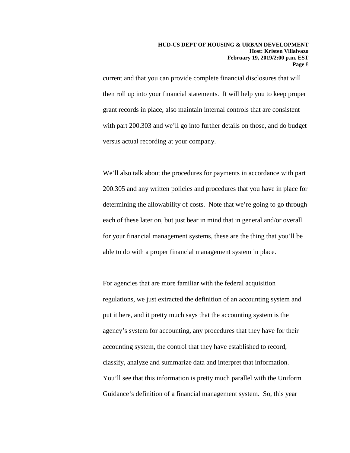current and that you can provide complete financial disclosures that will then roll up into your financial statements. It will help you to keep proper grant records in place, also maintain internal controls that are consistent with part 200.303 and we'll go into further details on those, and do budget versus actual recording at your company.

We'll also talk about the procedures for payments in accordance with part 200.305 and any written policies and procedures that you have in place for determining the allowability of costs. Note that we're going to go through each of these later on, but just bear in mind that in general and/or overall for your financial management systems, these are the thing that you'll be able to do with a proper financial management system in place.

For agencies that are more familiar with the federal acquisition regulations, we just extracted the definition of an accounting system and put it here, and it pretty much says that the accounting system is the agency's system for accounting, any procedures that they have for their accounting system, the control that they have established to record, classify, analyze and summarize data and interpret that information. You'll see that this information is pretty much parallel with the Uniform Guidance's definition of a financial management system. So, this year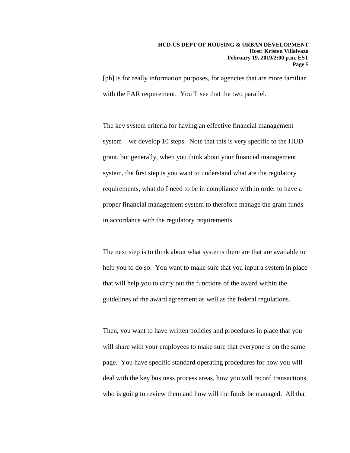[ph] is for really information purposes, for agencies that are more familiar with the FAR requirement. You'll see that the two parallel.

The key system criteria for having an effective financial management system—we develop 10 steps. Note that this is very specific to the HUD grant, but generally, when you think about your financial management system, the first step is you want to understand what are the regulatory requirements, what do I need to be in compliance with in order to have a proper financial management system to therefore manage the grant funds in accordance with the regulatory requirements.

The next step is to think about what systems there are that are available to help you to do so. You want to make sure that you input a system in place that will help you to carry out the functions of the award within the guidelines of the award agreement as well as the federal regulations.

Then, you want to have written policies and procedures in place that you will share with your employees to make sure that everyone is on the same page. You have specific standard operating procedures for how you will deal with the key business process areas, how you will record transactions, who is going to review them and how will the funds be managed. All that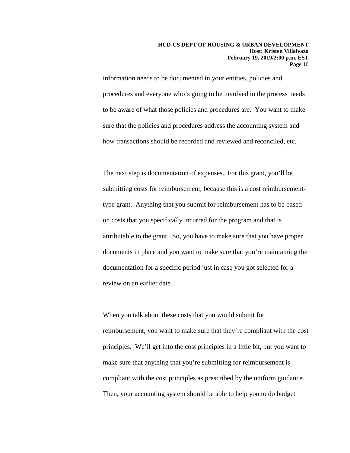information needs to be documented in your entities, policies and procedures and everyone who's going to be involved in the process needs to be aware of what those policies and procedures are. You want to make sure that the policies and procedures address the accounting system and how transactions should be recorded and reviewed and reconciled, etc.

The next step is documentation of expenses. For this grant, you'll be submitting costs for reimbursement, because this is a cost reimbursementtype grant. Anything that you submit for reimbursement has to be based on costs that you specifically incurred for the program and that is attributable to the grant. So, you have to make sure that you have proper documents in place and you want to make sure that you're maintaining the documentation for a specific period just in case you got selected for a review on an earlier date.

When you talk about these costs that you would submit for reimbursement, you want to make sure that they're compliant with the cost principles. We'll get into the cost principles in a little bit, but you want to make sure that anything that you're submitting for reimbursement is compliant with the cost principles as prescribed by the uniform guidance. Then, your accounting system should be able to help you to do budget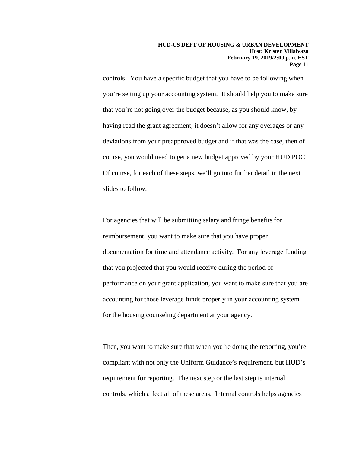controls. You have a specific budget that you have to be following when you're setting up your accounting system. It should help you to make sure that you're not going over the budget because, as you should know, by having read the grant agreement, it doesn't allow for any overages or any deviations from your preapproved budget and if that was the case, then of course, you would need to get a new budget approved by your HUD POC. Of course, for each of these steps, we'll go into further detail in the next slides to follow.

For agencies that will be submitting salary and fringe benefits for reimbursement, you want to make sure that you have proper documentation for time and attendance activity. For any leverage funding that you projected that you would receive during the period of performance on your grant application, you want to make sure that you are accounting for those leverage funds properly in your accounting system for the housing counseling department at your agency.

Then, you want to make sure that when you're doing the reporting, you're compliant with not only the Uniform Guidance's requirement, but HUD's requirement for reporting. The next step or the last step is internal controls, which affect all of these areas. Internal controls helps agencies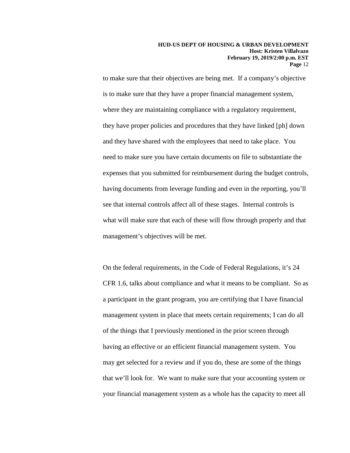to make sure that their objectives are being met. If a company's objective is to make sure that they have a proper financial management system, where they are maintaining compliance with a regulatory requirement, they have proper policies and procedures that they have linked [ph] down and they have shared with the employees that need to take place. You need to make sure you have certain documents on file to substantiate the expenses that you submitted for reimbursement during the budget controls, having documents from leverage funding and even in the reporting, you'll see that internal controls affect all of these stages. Internal controls is what will make sure that each of these will flow through properly and that management's objectives will be met.

On the federal requirements, in the Code of Federal Regulations, it's 24 CFR 1.6, talks about compliance and what it means to be compliant. So as a participant in the grant program, you are certifying that I have financial management system in place that meets certain requirements; I can do all of the things that I previously mentioned in the prior screen through having an effective or an efficient financial management system. You may get selected for a review and if you do, these are some of the things that we'll look for. We want to make sure that your accounting system or your financial management system as a whole has the capacity to meet all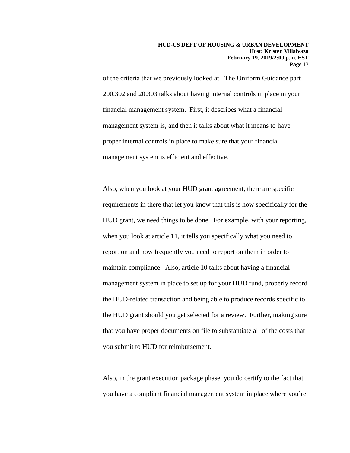of the criteria that we previously looked at. The Uniform Guidance part 200.302 and 20.303 talks about having internal controls in place in your financial management system. First, it describes what a financial management system is, and then it talks about what it means to have proper internal controls in place to make sure that your financial management system is efficient and effective.

Also, when you look at your HUD grant agreement, there are specific requirements in there that let you know that this is how specifically for the HUD grant, we need things to be done. For example, with your reporting, when you look at article 11, it tells you specifically what you need to report on and how frequently you need to report on them in order to maintain compliance. Also, article 10 talks about having a financial management system in place to set up for your HUD fund, properly record the HUD-related transaction and being able to produce records specific to the HUD grant should you get selected for a review. Further, making sure that you have proper documents on file to substantiate all of the costs that you submit to HUD for reimbursement.

Also, in the grant execution package phase, you do certify to the fact that you have a compliant financial management system in place where you're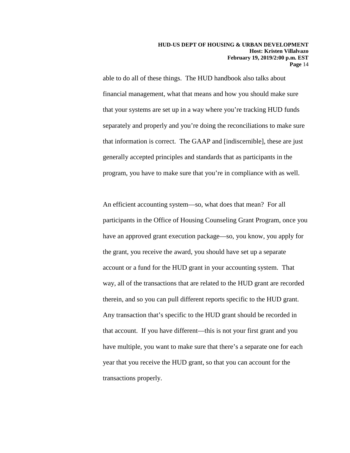able to do all of these things. The HUD handbook also talks about financial management, what that means and how you should make sure that your systems are set up in a way where you're tracking HUD funds separately and properly and you're doing the reconciliations to make sure that information is correct. The GAAP and [indiscernible], these are just generally accepted principles and standards that as participants in the program, you have to make sure that you're in compliance with as well.

An efficient accounting system—so, what does that mean? For all participants in the Office of Housing Counseling Grant Program, once you have an approved grant execution package—so, you know, you apply for the grant, you receive the award, you should have set up a separate account or a fund for the HUD grant in your accounting system. That way, all of the transactions that are related to the HUD grant are recorded therein, and so you can pull different reports specific to the HUD grant. Any transaction that's specific to the HUD grant should be recorded in that account. If you have different—this is not your first grant and you have multiple, you want to make sure that there's a separate one for each year that you receive the HUD grant, so that you can account for the transactions properly.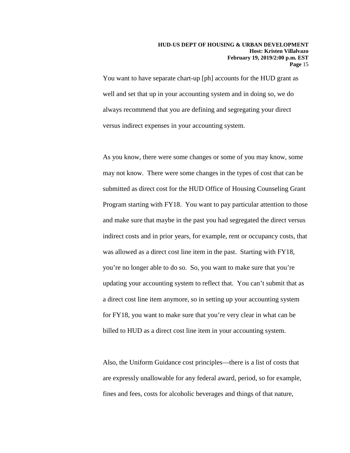You want to have separate chart-up [ph] accounts for the HUD grant as well and set that up in your accounting system and in doing so, we do always recommend that you are defining and segregating your direct versus indirect expenses in your accounting system.

As you know, there were some changes or some of you may know, some may not know. There were some changes in the types of cost that can be submitted as direct cost for the HUD Office of Housing Counseling Grant Program starting with FY18. You want to pay particular attention to those and make sure that maybe in the past you had segregated the direct versus indirect costs and in prior years, for example, rent or occupancy costs, that was allowed as a direct cost line item in the past. Starting with FY18, you're no longer able to do so. So, you want to make sure that you're updating your accounting system to reflect that. You can't submit that as a direct cost line item anymore, so in setting up your accounting system for FY18, you want to make sure that you're very clear in what can be billed to HUD as a direct cost line item in your accounting system.

Also, the Uniform Guidance cost principles—there is a list of costs that are expressly unallowable for any federal award, period, so for example, fines and fees, costs for alcoholic beverages and things of that nature,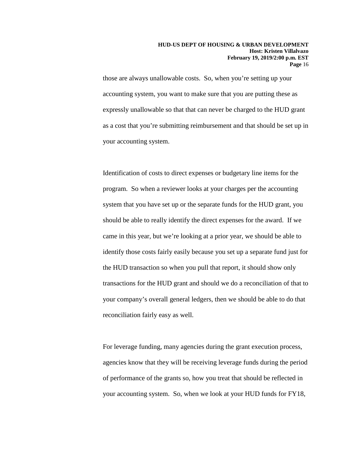those are always unallowable costs. So, when you're setting up your accounting system, you want to make sure that you are putting these as expressly unallowable so that that can never be charged to the HUD grant as a cost that you're submitting reimbursement and that should be set up in your accounting system.

Identification of costs to direct expenses or budgetary line items for the program. So when a reviewer looks at your charges per the accounting system that you have set up or the separate funds for the HUD grant, you should be able to really identify the direct expenses for the award. If we came in this year, but we're looking at a prior year, we should be able to identify those costs fairly easily because you set up a separate fund just for the HUD transaction so when you pull that report, it should show only transactions for the HUD grant and should we do a reconciliation of that to your company's overall general ledgers, then we should be able to do that reconciliation fairly easy as well.

For leverage funding, many agencies during the grant execution process, agencies know that they will be receiving leverage funds during the period of performance of the grants so, how you treat that should be reflected in your accounting system. So, when we look at your HUD funds for FY18,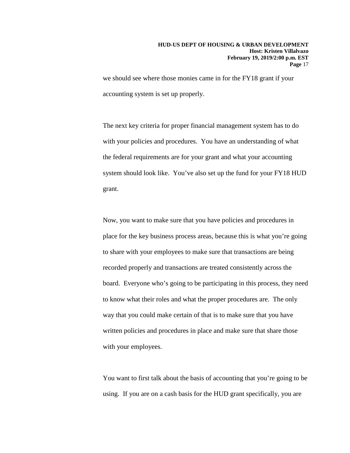we should see where those monies came in for the FY18 grant if your accounting system is set up properly.

The next key criteria for proper financial management system has to do with your policies and procedures. You have an understanding of what the federal requirements are for your grant and what your accounting system should look like. You've also set up the fund for your FY18 HUD grant.

Now, you want to make sure that you have policies and procedures in place for the key business process areas, because this is what you're going to share with your employees to make sure that transactions are being recorded properly and transactions are treated consistently across the board. Everyone who's going to be participating in this process, they need to know what their roles and what the proper procedures are. The only way that you could make certain of that is to make sure that you have written policies and procedures in place and make sure that share those with your employees.

You want to first talk about the basis of accounting that you're going to be using. If you are on a cash basis for the HUD grant specifically, you are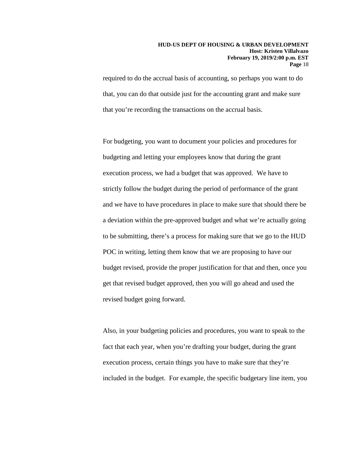required to do the accrual basis of accounting, so perhaps you want to do that, you can do that outside just for the accounting grant and make sure that you're recording the transactions on the accrual basis.

For budgeting, you want to document your policies and procedures for budgeting and letting your employees know that during the grant execution process, we had a budget that was approved. We have to strictly follow the budget during the period of performance of the grant and we have to have procedures in place to make sure that should there be a deviation within the pre-approved budget and what we're actually going to be submitting, there's a process for making sure that we go to the HUD POC in writing, letting them know that we are proposing to have our budget revised, provide the proper justification for that and then, once you get that revised budget approved, then you will go ahead and used the revised budget going forward.

Also, in your budgeting policies and procedures, you want to speak to the fact that each year, when you're drafting your budget, during the grant execution process, certain things you have to make sure that they're included in the budget. For example, the specific budgetary line item, you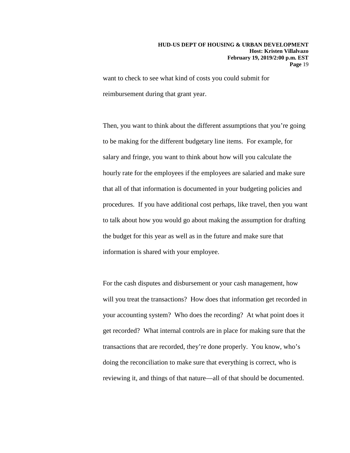want to check to see what kind of costs you could submit for reimbursement during that grant year.

Then, you want to think about the different assumptions that you're going to be making for the different budgetary line items. For example, for salary and fringe, you want to think about how will you calculate the hourly rate for the employees if the employees are salaried and make sure that all of that information is documented in your budgeting policies and procedures. If you have additional cost perhaps, like travel, then you want to talk about how you would go about making the assumption for drafting the budget for this year as well as in the future and make sure that information is shared with your employee.

For the cash disputes and disbursement or your cash management, how will you treat the transactions? How does that information get recorded in your accounting system? Who does the recording? At what point does it get recorded? What internal controls are in place for making sure that the transactions that are recorded, they're done properly. You know, who's doing the reconciliation to make sure that everything is correct, who is reviewing it, and things of that nature—all of that should be documented.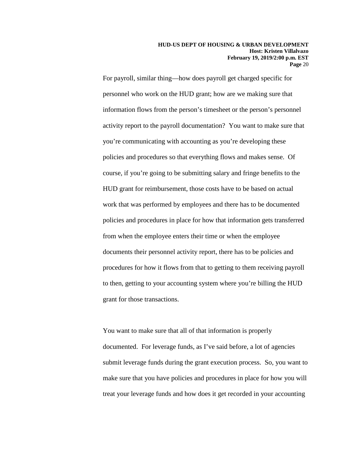For payroll, similar thing—how does payroll get charged specific for personnel who work on the HUD grant; how are we making sure that information flows from the person's timesheet or the person's personnel activity report to the payroll documentation? You want to make sure that you're communicating with accounting as you're developing these policies and procedures so that everything flows and makes sense. Of course, if you're going to be submitting salary and fringe benefits to the HUD grant for reimbursement, those costs have to be based on actual work that was performed by employees and there has to be documented policies and procedures in place for how that information gets transferred from when the employee enters their time or when the employee documents their personnel activity report, there has to be policies and procedures for how it flows from that to getting to them receiving payroll to then, getting to your accounting system where you're billing the HUD grant for those transactions.

You want to make sure that all of that information is properly documented. For leverage funds, as I've said before, a lot of agencies submit leverage funds during the grant execution process. So, you want to make sure that you have policies and procedures in place for how you will treat your leverage funds and how does it get recorded in your accounting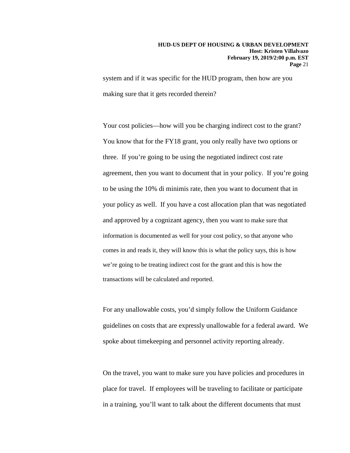system and if it was specific for the HUD program, then how are you making sure that it gets recorded therein?

Your cost policies—how will you be charging indirect cost to the grant? You know that for the FY18 grant, you only really have two options or three. If you're going to be using the negotiated indirect cost rate agreement, then you want to document that in your policy. If you're going to be using the 10% di minimis rate, then you want to document that in your policy as well. If you have a cost allocation plan that was negotiated and approved by a cognizant agency, then you want to make sure that information is documented as well for your cost policy, so that anyone who comes in and reads it, they will know this is what the policy says, this is how we're going to be treating indirect cost for the grant and this is how the transactions will be calculated and reported.

For any unallowable costs, you'd simply follow the Uniform Guidance guidelines on costs that are expressly unallowable for a federal award. We spoke about timekeeping and personnel activity reporting already.

On the travel, you want to make sure you have policies and procedures in place for travel. If employees will be traveling to facilitate or participate in a training, you'll want to talk about the different documents that must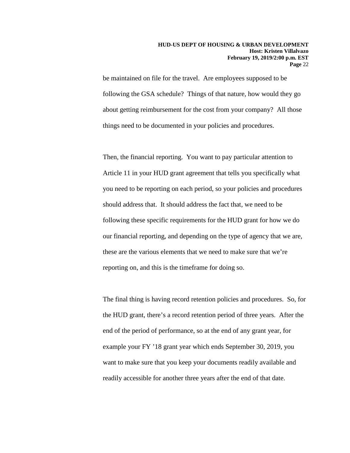be maintained on file for the travel. Are employees supposed to be following the GSA schedule? Things of that nature, how would they go about getting reimbursement for the cost from your company? All those things need to be documented in your policies and procedures.

Then, the financial reporting. You want to pay particular attention to Article 11 in your HUD grant agreement that tells you specifically what you need to be reporting on each period, so your policies and procedures should address that. It should address the fact that, we need to be following these specific requirements for the HUD grant for how we do our financial reporting, and depending on the type of agency that we are, these are the various elements that we need to make sure that we're reporting on, and this is the timeframe for doing so.

The final thing is having record retention policies and procedures. So, for the HUD grant, there's a record retention period of three years. After the end of the period of performance, so at the end of any grant year, for example your FY '18 grant year which ends September 30, 2019, you want to make sure that you keep your documents readily available and readily accessible for another three years after the end of that date.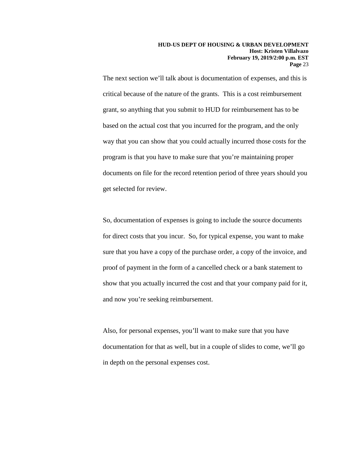The next section we'll talk about is documentation of expenses, and this is critical because of the nature of the grants. This is a cost reimbursement grant, so anything that you submit to HUD for reimbursement has to be based on the actual cost that you incurred for the program, and the only way that you can show that you could actually incurred those costs for the program is that you have to make sure that you're maintaining proper documents on file for the record retention period of three years should you get selected for review.

So, documentation of expenses is going to include the source documents for direct costs that you incur. So, for typical expense, you want to make sure that you have a copy of the purchase order, a copy of the invoice, and proof of payment in the form of a cancelled check or a bank statement to show that you actually incurred the cost and that your company paid for it, and now you're seeking reimbursement.

Also, for personal expenses, you'll want to make sure that you have documentation for that as well, but in a couple of slides to come, we'll go in depth on the personal expenses cost.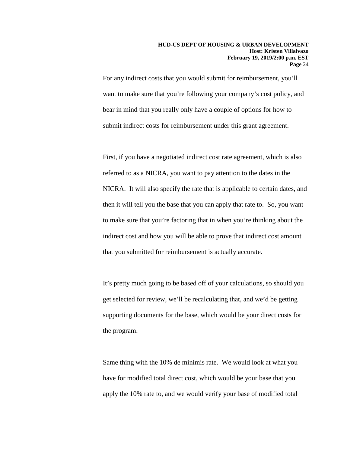For any indirect costs that you would submit for reimbursement, you'll want to make sure that you're following your company's cost policy, and bear in mind that you really only have a couple of options for how to submit indirect costs for reimbursement under this grant agreement.

First, if you have a negotiated indirect cost rate agreement, which is also referred to as a NICRA, you want to pay attention to the dates in the NICRA. It will also specify the rate that is applicable to certain dates, and then it will tell you the base that you can apply that rate to. So, you want to make sure that you're factoring that in when you're thinking about the indirect cost and how you will be able to prove that indirect cost amount that you submitted for reimbursement is actually accurate.

It's pretty much going to be based off of your calculations, so should you get selected for review, we'll be recalculating that, and we'd be getting supporting documents for the base, which would be your direct costs for the program.

Same thing with the 10% de minimis rate. We would look at what you have for modified total direct cost, which would be your base that you apply the 10% rate to, and we would verify your base of modified total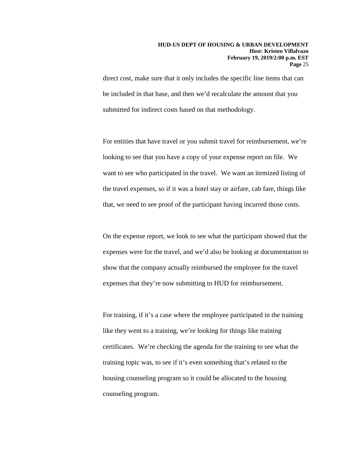direct cost, make sure that it only includes the specific line items that can be included in that base, and then we'd recalculate the amount that you submitted for indirect costs based on that methodology.

For entities that have travel or you submit travel for reimbursement, we're looking to see that you have a copy of your expense report on file. We want to see who participated in the travel. We want an itemized listing of the travel expenses, so if it was a hotel stay or airfare, cab fare, things like that, we need to see proof of the participant having incurred those costs.

On the expense report, we look to see what the participant showed that the expenses were for the travel, and we'd also be looking at documentation to show that the company actually reimbursed the employee for the travel expenses that they're now submitting to HUD for reimbursement.

For training, if it's a case where the employee participated in the training like they went to a training, we're looking for things like training certificates. We're checking the agenda for the training to see what the training topic was, to see if it's even something that's related to the housing counseling program so it could be allocated to the housing counseling program.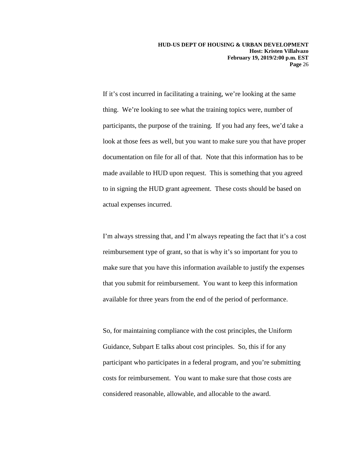If it's cost incurred in facilitating a training, we're looking at the same thing. We're looking to see what the training topics were, number of participants, the purpose of the training. If you had any fees, we'd take a look at those fees as well, but you want to make sure you that have proper documentation on file for all of that. Note that this information has to be made available to HUD upon request. This is something that you agreed to in signing the HUD grant agreement. These costs should be based on actual expenses incurred.

I'm always stressing that, and I'm always repeating the fact that it's a cost reimbursement type of grant, so that is why it's so important for you to make sure that you have this information available to justify the expenses that you submit for reimbursement. You want to keep this information available for three years from the end of the period of performance.

So, for maintaining compliance with the cost principles, the Uniform Guidance, Subpart E talks about cost principles. So, this if for any participant who participates in a federal program, and you're submitting costs for reimbursement. You want to make sure that those costs are considered reasonable, allowable, and allocable to the award.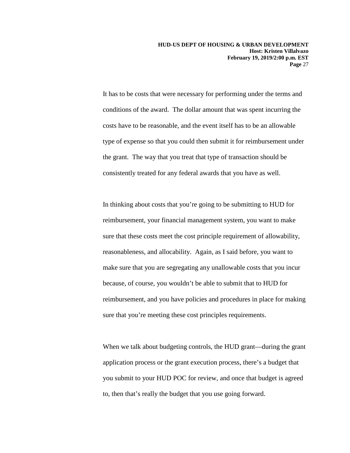It has to be costs that were necessary for performing under the terms and conditions of the award. The dollar amount that was spent incurring the costs have to be reasonable, and the event itself has to be an allowable type of expense so that you could then submit it for reimbursement under the grant. The way that you treat that type of transaction should be consistently treated for any federal awards that you have as well.

In thinking about costs that you're going to be submitting to HUD for reimbursement, your financial management system, you want to make sure that these costs meet the cost principle requirement of allowability, reasonableness, and allocability. Again, as I said before, you want to make sure that you are segregating any unallowable costs that you incur because, of course, you wouldn't be able to submit that to HUD for reimbursement, and you have policies and procedures in place for making sure that you're meeting these cost principles requirements.

When we talk about budgeting controls, the HUD grant—during the grant application process or the grant execution process, there's a budget that you submit to your HUD POC for review, and once that budget is agreed to, then that's really the budget that you use going forward.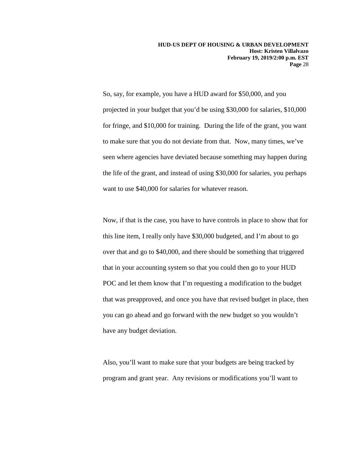So, say, for example, you have a HUD award for \$50,000, and you projected in your budget that you'd be using \$30,000 for salaries, \$10,000 for fringe, and \$10,000 for training. During the life of the grant, you want to make sure that you do not deviate from that. Now, many times, we've seen where agencies have deviated because something may happen during the life of the grant, and instead of using \$30,000 for salaries, you perhaps want to use \$40,000 for salaries for whatever reason.

Now, if that is the case, you have to have controls in place to show that for this line item, I really only have \$30,000 budgeted, and I'm about to go over that and go to \$40,000, and there should be something that triggered that in your accounting system so that you could then go to your HUD POC and let them know that I'm requesting a modification to the budget that was preapproved, and once you have that revised budget in place, then you can go ahead and go forward with the new budget so you wouldn't have any budget deviation.

Also, you'll want to make sure that your budgets are being tracked by program and grant year. Any revisions or modifications you'll want to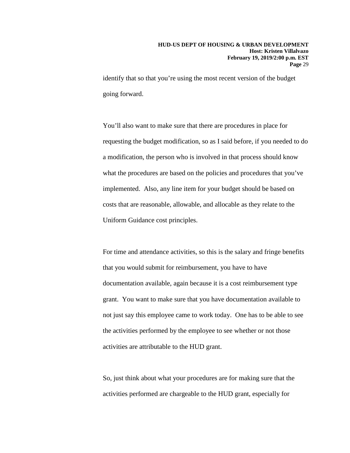identify that so that you're using the most recent version of the budget going forward.

You'll also want to make sure that there are procedures in place for requesting the budget modification, so as I said before, if you needed to do a modification, the person who is involved in that process should know what the procedures are based on the policies and procedures that you've implemented. Also, any line item for your budget should be based on costs that are reasonable, allowable, and allocable as they relate to the Uniform Guidance cost principles.

For time and attendance activities, so this is the salary and fringe benefits that you would submit for reimbursement, you have to have documentation available, again because it is a cost reimbursement type grant. You want to make sure that you have documentation available to not just say this employee came to work today. One has to be able to see the activities performed by the employee to see whether or not those activities are attributable to the HUD grant.

So, just think about what your procedures are for making sure that the activities performed are chargeable to the HUD grant, especially for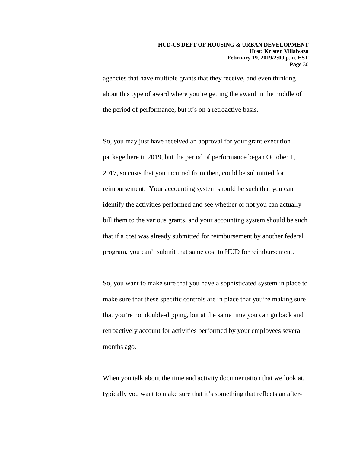agencies that have multiple grants that they receive, and even thinking about this type of award where you're getting the award in the middle of the period of performance, but it's on a retroactive basis.

So, you may just have received an approval for your grant execution package here in 2019, but the period of performance began October 1, 2017, so costs that you incurred from then, could be submitted for reimbursement. Your accounting system should be such that you can identify the activities performed and see whether or not you can actually bill them to the various grants, and your accounting system should be such that if a cost was already submitted for reimbursement by another federal program, you can't submit that same cost to HUD for reimbursement.

So, you want to make sure that you have a sophisticated system in place to make sure that these specific controls are in place that you're making sure that you're not double-dipping, but at the same time you can go back and retroactively account for activities performed by your employees several months ago.

When you talk about the time and activity documentation that we look at, typically you want to make sure that it's something that reflects an after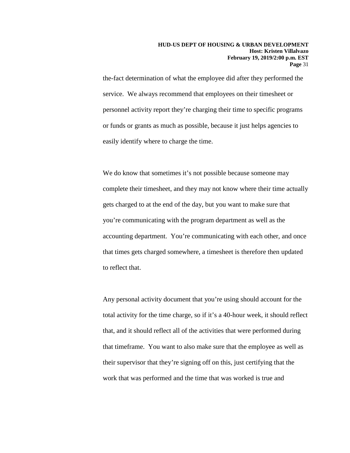the-fact determination of what the employee did after they performed the service. We always recommend that employees on their timesheet or personnel activity report they're charging their time to specific programs or funds or grants as much as possible, because it just helps agencies to easily identify where to charge the time.

We do know that sometimes it's not possible because someone may complete their timesheet, and they may not know where their time actually gets charged to at the end of the day, but you want to make sure that you're communicating with the program department as well as the accounting department. You're communicating with each other, and once that times gets charged somewhere, a timesheet is therefore then updated to reflect that.

Any personal activity document that you're using should account for the total activity for the time charge, so if it's a 40-hour week, it should reflect that, and it should reflect all of the activities that were performed during that timeframe. You want to also make sure that the employee as well as their supervisor that they're signing off on this, just certifying that the work that was performed and the time that was worked is true and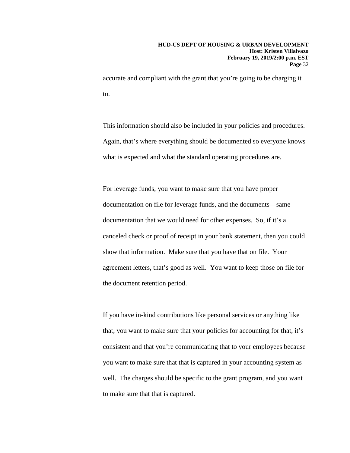accurate and compliant with the grant that you're going to be charging it to.

This information should also be included in your policies and procedures. Again, that's where everything should be documented so everyone knows what is expected and what the standard operating procedures are.

For leverage funds, you want to make sure that you have proper documentation on file for leverage funds, and the documents—same documentation that we would need for other expenses. So, if it's a canceled check or proof of receipt in your bank statement, then you could show that information. Make sure that you have that on file. Your agreement letters, that's good as well. You want to keep those on file for the document retention period.

If you have in-kind contributions like personal services or anything like that, you want to make sure that your policies for accounting for that, it's consistent and that you're communicating that to your employees because you want to make sure that that is captured in your accounting system as well. The charges should be specific to the grant program, and you want to make sure that that is captured.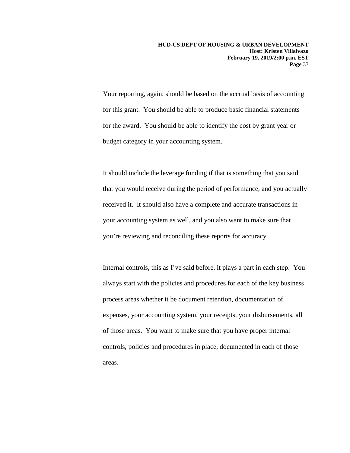Your reporting, again, should be based on the accrual basis of accounting for this grant. You should be able to produce basic financial statements for the award. You should be able to identify the cost by grant year or budget category in your accounting system.

It should include the leverage funding if that is something that you said that you would receive during the period of performance, and you actually received it. It should also have a complete and accurate transactions in your accounting system as well, and you also want to make sure that you're reviewing and reconciling these reports for accuracy.

Internal controls, this as I've said before, it plays a part in each step. You always start with the policies and procedures for each of the key business process areas whether it be document retention, documentation of expenses, your accounting system, your receipts, your disbursements, all of those areas. You want to make sure that you have proper internal controls, policies and procedures in place, documented in each of those areas.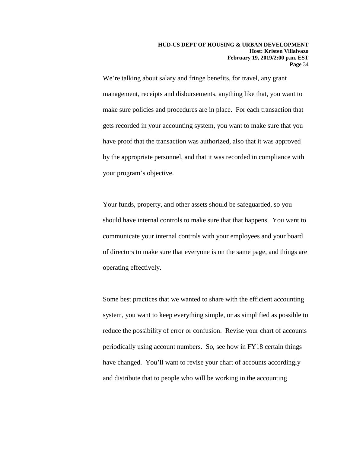We're talking about salary and fringe benefits, for travel, any grant management, receipts and disbursements, anything like that, you want to make sure policies and procedures are in place. For each transaction that gets recorded in your accounting system, you want to make sure that you have proof that the transaction was authorized, also that it was approved by the appropriate personnel, and that it was recorded in compliance with your program's objective.

Your funds, property, and other assets should be safeguarded, so you should have internal controls to make sure that that happens. You want to communicate your internal controls with your employees and your board of directors to make sure that everyone is on the same page, and things are operating effectively.

Some best practices that we wanted to share with the efficient accounting system, you want to keep everything simple, or as simplified as possible to reduce the possibility of error or confusion. Revise your chart of accounts periodically using account numbers. So, see how in FY18 certain things have changed. You'll want to revise your chart of accounts accordingly and distribute that to people who will be working in the accounting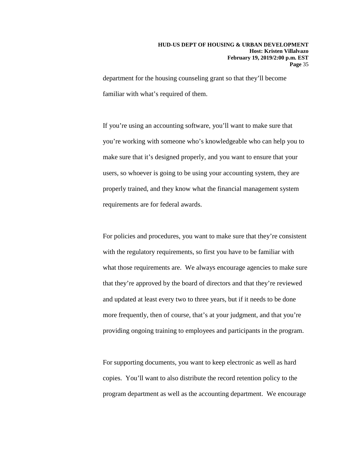department for the housing counseling grant so that they'll become familiar with what's required of them.

If you're using an accounting software, you'll want to make sure that you're working with someone who's knowledgeable who can help you to make sure that it's designed properly, and you want to ensure that your users, so whoever is going to be using your accounting system, they are properly trained, and they know what the financial management system requirements are for federal awards.

For policies and procedures, you want to make sure that they're consistent with the regulatory requirements, so first you have to be familiar with what those requirements are. We always encourage agencies to make sure that they're approved by the board of directors and that they're reviewed and updated at least every two to three years, but if it needs to be done more frequently, then of course, that's at your judgment, and that you're providing ongoing training to employees and participants in the program.

For supporting documents, you want to keep electronic as well as hard copies. You'll want to also distribute the record retention policy to the program department as well as the accounting department. We encourage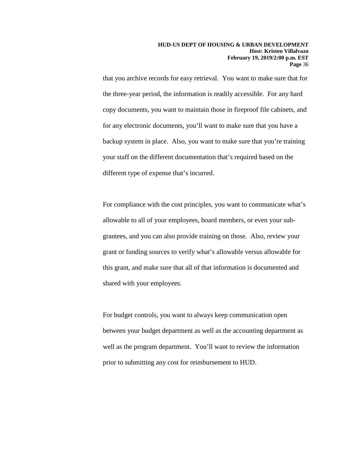that you archive records for easy retrieval. You want to make sure that for the three-year period, the information is readily accessible. For any hard copy documents, you want to maintain those in fireproof file cabinets, and for any electronic documents, you'll want to make sure that you have a backup system in place. Also, you want to make sure that you're training your staff on the different documentation that's required based on the different type of expense that's incurred.

For compliance with the cost principles, you want to communicate what's allowable to all of your employees, board members, or even your subgrantees, and you can also provide training on those. Also, review your grant or funding sources to verify what's allowable versus allowable for this grant, and make sure that all of that information is documented and shared with your employees.

For budget controls, you want to always keep communication open between your budget department as well as the accounting department as well as the program department. You'll want to review the information prior to submitting any cost for reimbursement to HUD.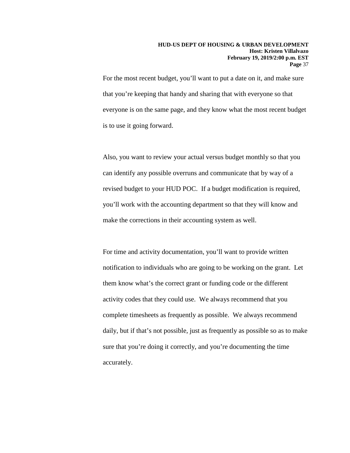For the most recent budget, you'll want to put a date on it, and make sure that you're keeping that handy and sharing that with everyone so that everyone is on the same page, and they know what the most recent budget is to use it going forward.

Also, you want to review your actual versus budget monthly so that you can identify any possible overruns and communicate that by way of a revised budget to your HUD POC. If a budget modification is required, you'll work with the accounting department so that they will know and make the corrections in their accounting system as well.

For time and activity documentation, you'll want to provide written notification to individuals who are going to be working on the grant. Let them know what's the correct grant or funding code or the different activity codes that they could use. We always recommend that you complete timesheets as frequently as possible. We always recommend daily, but if that's not possible, just as frequently as possible so as to make sure that you're doing it correctly, and you're documenting the time accurately.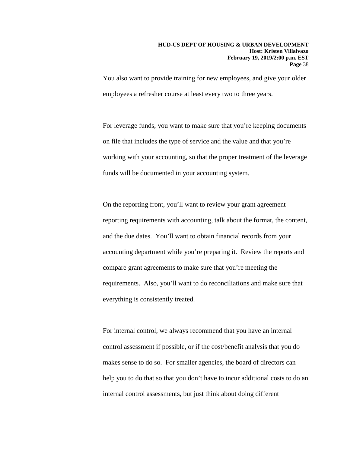You also want to provide training for new employees, and give your older employees a refresher course at least every two to three years.

For leverage funds, you want to make sure that you're keeping documents on file that includes the type of service and the value and that you're working with your accounting, so that the proper treatment of the leverage funds will be documented in your accounting system.

On the reporting front, you'll want to review your grant agreement reporting requirements with accounting, talk about the format, the content, and the due dates. You'll want to obtain financial records from your accounting department while you're preparing it. Review the reports and compare grant agreements to make sure that you're meeting the requirements. Also, you'll want to do reconciliations and make sure that everything is consistently treated.

For internal control, we always recommend that you have an internal control assessment if possible, or if the cost/benefit analysis that you do makes sense to do so. For smaller agencies, the board of directors can help you to do that so that you don't have to incur additional costs to do an internal control assessments, but just think about doing different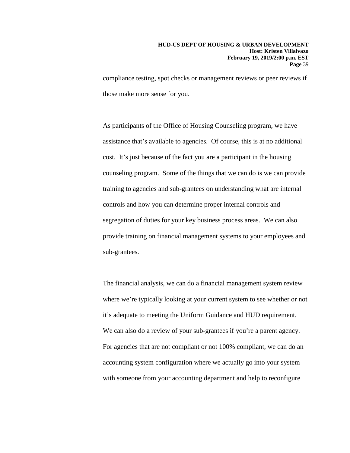compliance testing, spot checks or management reviews or peer reviews if those make more sense for you.

As participants of the Office of Housing Counseling program, we have assistance that's available to agencies. Of course, this is at no additional cost. It's just because of the fact you are a participant in the housing counseling program. Some of the things that we can do is we can provide training to agencies and sub-grantees on understanding what are internal controls and how you can determine proper internal controls and segregation of duties for your key business process areas. We can also provide training on financial management systems to your employees and sub-grantees.

The financial analysis, we can do a financial management system review where we're typically looking at your current system to see whether or not it's adequate to meeting the Uniform Guidance and HUD requirement. We can also do a review of your sub-grantees if you're a parent agency. For agencies that are not compliant or not 100% compliant, we can do an accounting system configuration where we actually go into your system with someone from your accounting department and help to reconfigure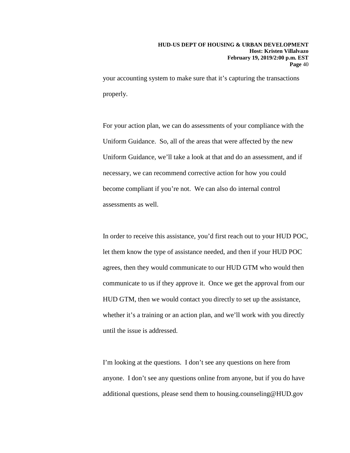your accounting system to make sure that it's capturing the transactions properly.

For your action plan, we can do assessments of your compliance with the Uniform Guidance. So, all of the areas that were affected by the new Uniform Guidance, we'll take a look at that and do an assessment, and if necessary, we can recommend corrective action for how you could become compliant if you're not. We can also do internal control assessments as well.

In order to receive this assistance, you'd first reach out to your HUD POC, let them know the type of assistance needed, and then if your HUD POC agrees, then they would communicate to our HUD GTM who would then communicate to us if they approve it. Once we get the approval from our HUD GTM, then we would contact you directly to set up the assistance, whether it's a training or an action plan, and we'll work with you directly until the issue is addressed.

I'm looking at the questions. I don't see any questions on here from anyone. I don't see any questions online from anyone, but if you do have additional questions, please send them to housing.counseling@HUD.gov